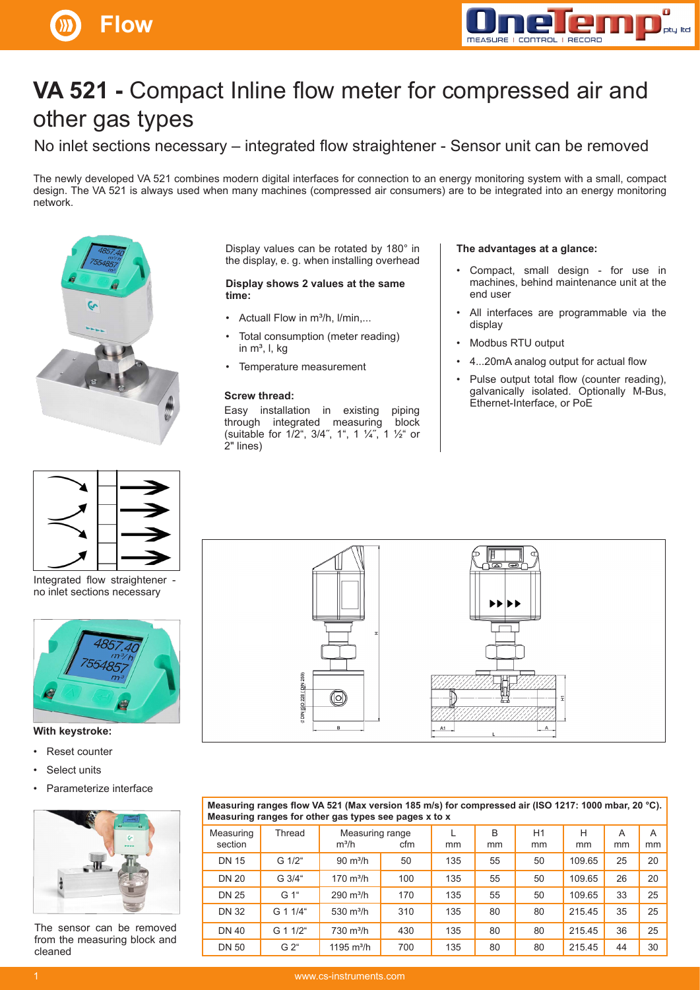



# **VA 521 -** Compact Inline flow meter for compressed air and other gas types

No inlet sections necessary – integrated flow straightener - Sensor unit can be removed

The newly developed VA 521 combines modern digital interfaces for connection to an energy monitoring system with a small, compact design. The VA 521 is always used when many machines (compressed air consumers) are to be integrated into an energy monitoring network.





Integrated flow straightener no inlet sections necessary



### **With keystroke:**

- Reset counter
- Select units
- Parameterize interface



The sensor can be removed from the measuring block and cleaned

Display values can be rotated by 180° in the display, e. g. when installing overhead

#### **Display shows 2 values at the same time:**

- Actuall Flow in m<sup>3</sup>/h, I/min,...
- Total consumption (meter reading) in  $m^3$ , l, kg
- Temperature measurement

#### **Screw thread:**

Easy installation in existing piping through integrated measuring block (suitable for 1/2", 3/4˝, 1", 1 ¼˝, 1 ½" or 2" lines)

#### **The advantages at a glance:**

- Compact, small design for use in machines, behind maintenance unit at the end user
- All interfaces are programmable via the display
- Modbus RTU output
- 4...20mA analog output for actual flow
- Pulse output total flow (counter reading), galvanically isolated. Optionally M-Bus, Ethernet-Interface, or PoE



| Measuring ranges flow VA 521 (Max version 185 m/s) for compressed air (ISO 1217: 1000 mbar, 20 °C).<br>Measuring ranges for other gas types see pages x to x |                  |                            |     |     |         |          |         |         |         |
|--------------------------------------------------------------------------------------------------------------------------------------------------------------|------------------|----------------------------|-----|-----|---------|----------|---------|---------|---------|
| Measuring<br>section                                                                                                                                         | Thread           | Measuring range<br>$m^3/h$ | cfm | mm  | B<br>mm | H1<br>mm | Н<br>mm | A<br>mm | A<br>mm |
| <b>DN 15</b>                                                                                                                                                 | G 1/2"           | $90 \text{ m}^3$ /h        | 50  | 135 | 55      | 50       | 109.65  | 25      | 20      |
| <b>DN 20</b>                                                                                                                                                 | G 3/4"           | $170 \text{ m}^3/h$        | 100 | 135 | 55      | 50       | 109.65  | 26      | 20      |
| <b>DN 25</b>                                                                                                                                                 | G 1"             | $290 \text{ m}^3/h$        | 170 | 135 | 55      | 50       | 109.65  | 33      | 25      |
| <b>DN 32</b>                                                                                                                                                 | G 1 1/4"         | 530 $m^3/h$                | 310 | 135 | 80      | 80       | 21545   | 35      | 25      |
| <b>DN 40</b>                                                                                                                                                 | G 1 1/2"         | $730 \text{ m}^3/h$        | 430 | 135 | 80      | 80       | 215.45  | 36      | 25      |
| <b>DN 50</b>                                                                                                                                                 | G 2 <sup>4</sup> | 1195 $m^3/h$               | 700 | 135 | 80      | 80       | 215.45  | 44      | 30      |